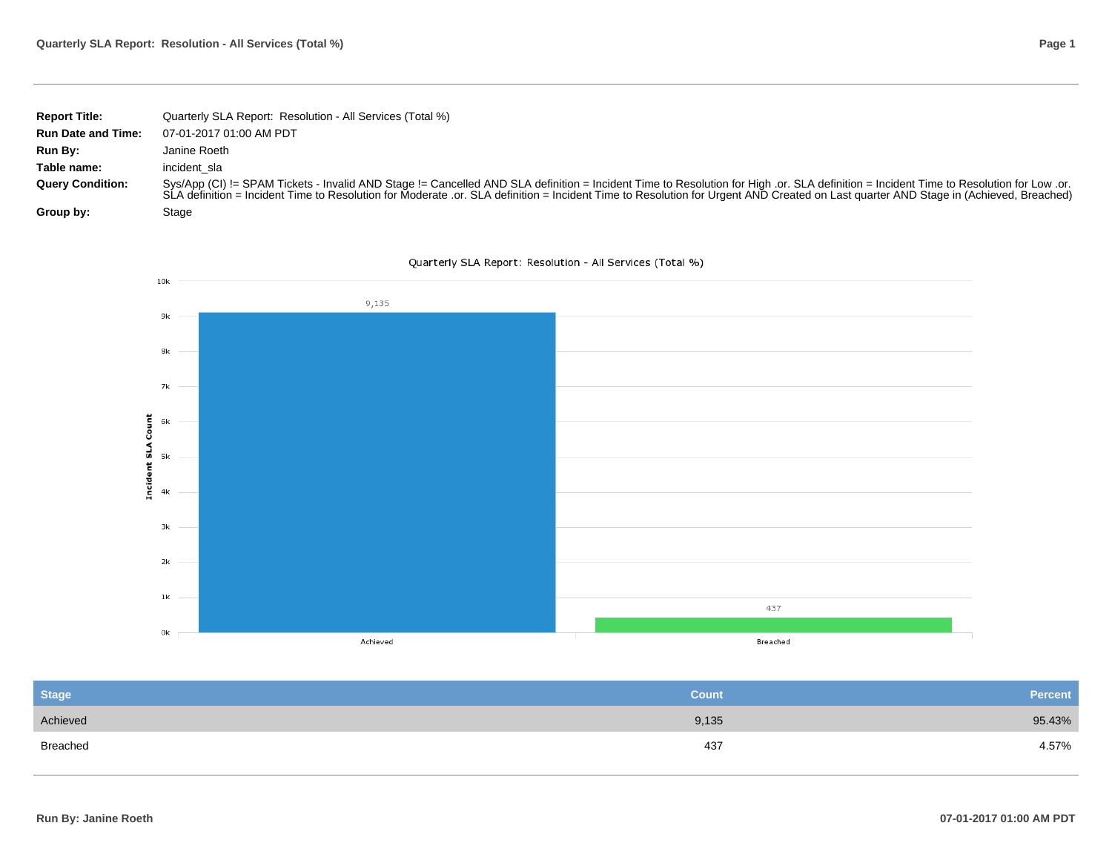|  | Page 1 |
|--|--------|
|--|--------|

| <b>Report Title:</b>      | Quarterly SLA Report: Resolution - All Services (Total %)                                                                                                                                                                                                                                                                                                                      |
|---------------------------|--------------------------------------------------------------------------------------------------------------------------------------------------------------------------------------------------------------------------------------------------------------------------------------------------------------------------------------------------------------------------------|
| <b>Run Date and Time:</b> | 07-01-2017 01:00 AM PDT                                                                                                                                                                                                                                                                                                                                                        |
| Run By:                   | Janine Roeth                                                                                                                                                                                                                                                                                                                                                                   |
| Table name:               | incident sla                                                                                                                                                                                                                                                                                                                                                                   |
| <b>Query Condition:</b>   | Sys/App (CI) != SPAM Tickets - Invalid AND Stage != Cancelled AND SLA definition = Incident Time to Resolution for High .or. SLA definition = Incident Time to Resolution for Low .or.<br>SLA definition = Incident Time to Resolution for Moderate .or. SLA definition = Incident Time to Resolution for Urgent AND Created on Last quarter AND Stage in (Achieved, Breached) |
| Group by:                 | Stage                                                                                                                                                                                                                                                                                                                                                                          |





| <b>Stage</b> | Count <sup>1</sup> | <b>Percent</b> |
|--------------|--------------------|----------------|
| Achieved     | 9,135              | 95.43%         |
| Breached     | 437                | 4.57%          |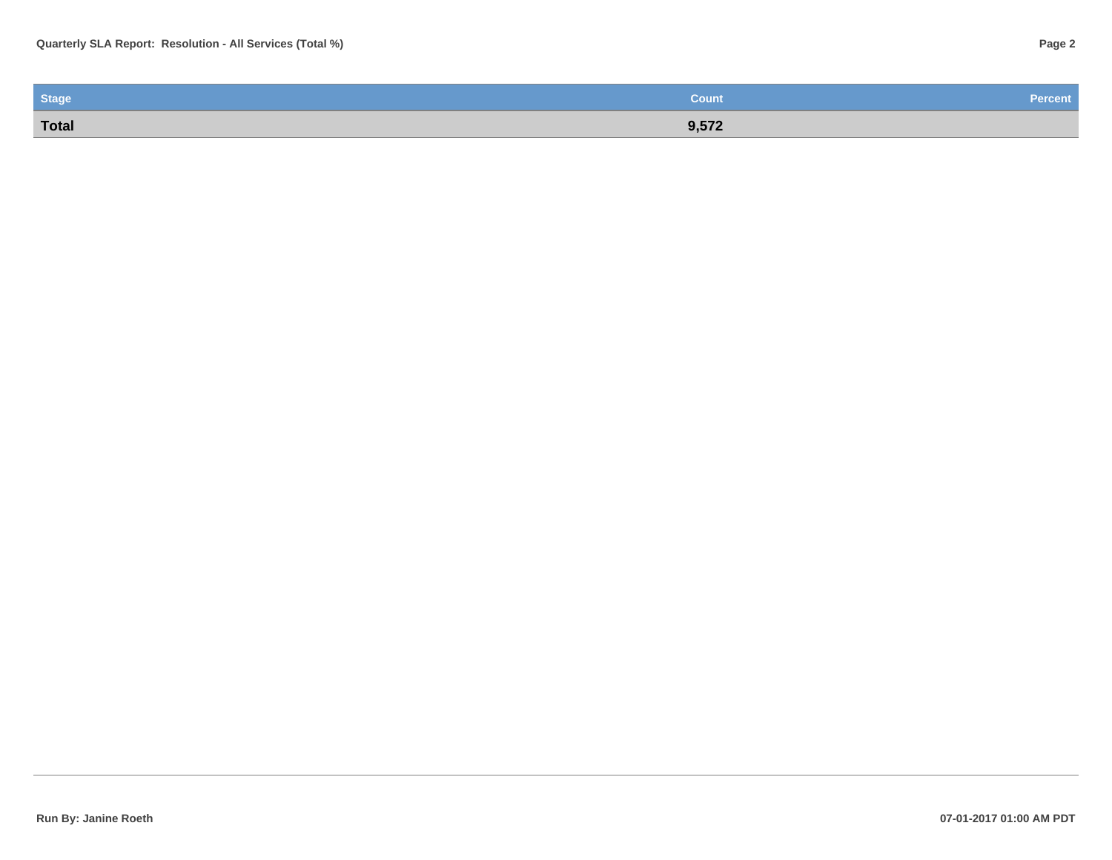| <b>Stage</b> | <b>Count</b> | <b>Percent</b> |
|--------------|--------------|----------------|
| Total        | 9,572        |                |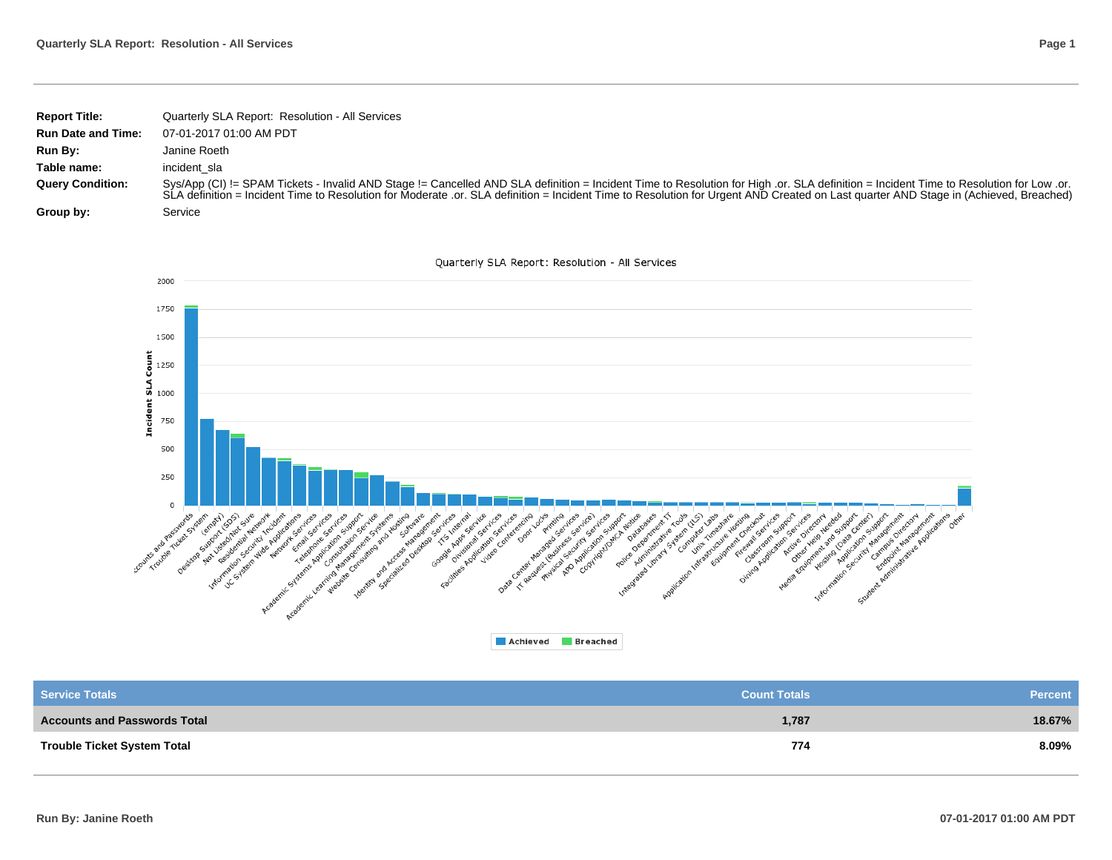| <b>Report Title:</b>      | Quarterly SLA Report: Resolution - All Services                                                                                                                                                                                                                                                                                                                                |
|---------------------------|--------------------------------------------------------------------------------------------------------------------------------------------------------------------------------------------------------------------------------------------------------------------------------------------------------------------------------------------------------------------------------|
| <b>Run Date and Time:</b> | 07-01-2017 01:00 AM PDT                                                                                                                                                                                                                                                                                                                                                        |
| Run By:                   | Janine Roeth                                                                                                                                                                                                                                                                                                                                                                   |
| Table name:               | incident sla                                                                                                                                                                                                                                                                                                                                                                   |
| <b>Query Condition:</b>   | Sys/App (CI) != SPAM Tickets - Invalid AND Stage != Cancelled AND SLA definition = Incident Time to Resolution for High .or. SLA definition = Incident Time to Resolution for Low .or.<br>SLA definition = Incident Time to Resolution for Moderate .or. SLA definition = Incident Time to Resolution for Urgent AND Created on Last quarter AND Stage in (Achieved, Breached) |
| Group by:                 | Service                                                                                                                                                                                                                                                                                                                                                                        |



| <b>Service Totals</b>               | <b>Count Totals</b> | <b>Percent</b> |
|-------------------------------------|---------------------|----------------|
| <b>Accounts and Passwords Total</b> | 1,787               | 18.67%         |
| <b>Trouble Ticket System Total</b>  | 774                 | 8.09%          |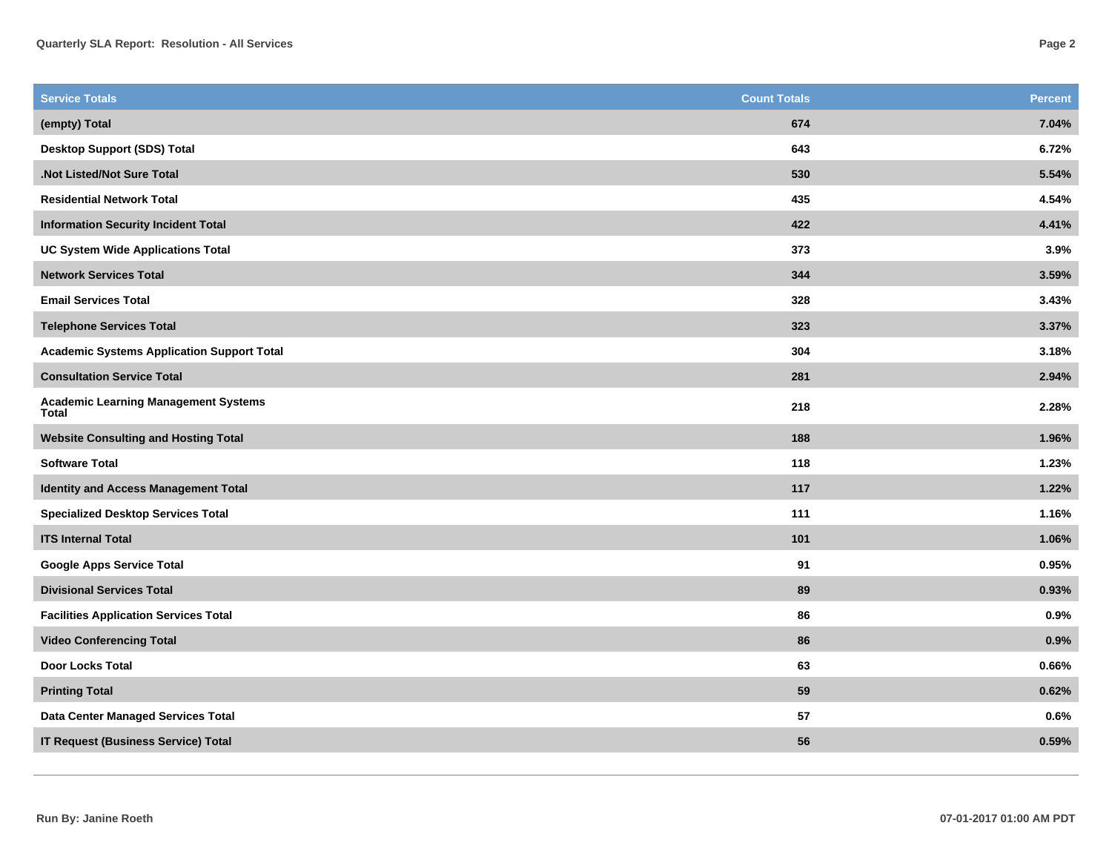| 674<br>(empty) Total<br><b>Desktop Support (SDS) Total</b><br>643<br>530<br>.Not Listed/Not Sure Total<br>435<br><b>Residential Network Total</b><br>422<br><b>Information Security Incident Total</b> | 7.04%<br>6.72%<br>5.54%<br>4.54%<br>4.41%<br>3.9%<br>3.59%<br>3.43% |
|--------------------------------------------------------------------------------------------------------------------------------------------------------------------------------------------------------|---------------------------------------------------------------------|
|                                                                                                                                                                                                        |                                                                     |
|                                                                                                                                                                                                        |                                                                     |
|                                                                                                                                                                                                        |                                                                     |
|                                                                                                                                                                                                        |                                                                     |
|                                                                                                                                                                                                        |                                                                     |
| 373<br><b>UC System Wide Applications Total</b>                                                                                                                                                        |                                                                     |
| 344<br><b>Network Services Total</b>                                                                                                                                                                   |                                                                     |
| <b>Email Services Total</b><br>328                                                                                                                                                                     |                                                                     |
| 323<br><b>Telephone Services Total</b>                                                                                                                                                                 | 3.37%                                                               |
| 304<br><b>Academic Systems Application Support Total</b>                                                                                                                                               | 3.18%                                                               |
| 281<br><b>Consultation Service Total</b>                                                                                                                                                               | 2.94%                                                               |
| <b>Academic Learning Management Systems</b><br>218<br>Total                                                                                                                                            | 2.28%                                                               |
| 188<br><b>Website Consulting and Hosting Total</b>                                                                                                                                                     | 1.96%                                                               |
| 118<br><b>Software Total</b>                                                                                                                                                                           | 1.23%                                                               |
| 117<br><b>Identity and Access Management Total</b>                                                                                                                                                     | 1.22%                                                               |
| 111<br><b>Specialized Desktop Services Total</b>                                                                                                                                                       | 1.16%                                                               |
| <b>ITS Internal Total</b><br>101                                                                                                                                                                       | 1.06%                                                               |
| 91<br><b>Google Apps Service Total</b>                                                                                                                                                                 | 0.95%                                                               |
| 89<br><b>Divisional Services Total</b>                                                                                                                                                                 | 0.93%                                                               |
| 86<br><b>Facilities Application Services Total</b>                                                                                                                                                     | 0.9%                                                                |
| 86<br><b>Video Conferencing Total</b>                                                                                                                                                                  | 0.9%                                                                |
| Door Locks Total<br>63                                                                                                                                                                                 | 0.66%                                                               |
| 59<br><b>Printing Total</b>                                                                                                                                                                            | 0.62%                                                               |
| <b>Data Center Managed Services Total</b><br>57                                                                                                                                                        | 0.6%                                                                |
| 56<br><b>IT Request (Business Service) Total</b>                                                                                                                                                       | 0.59%                                                               |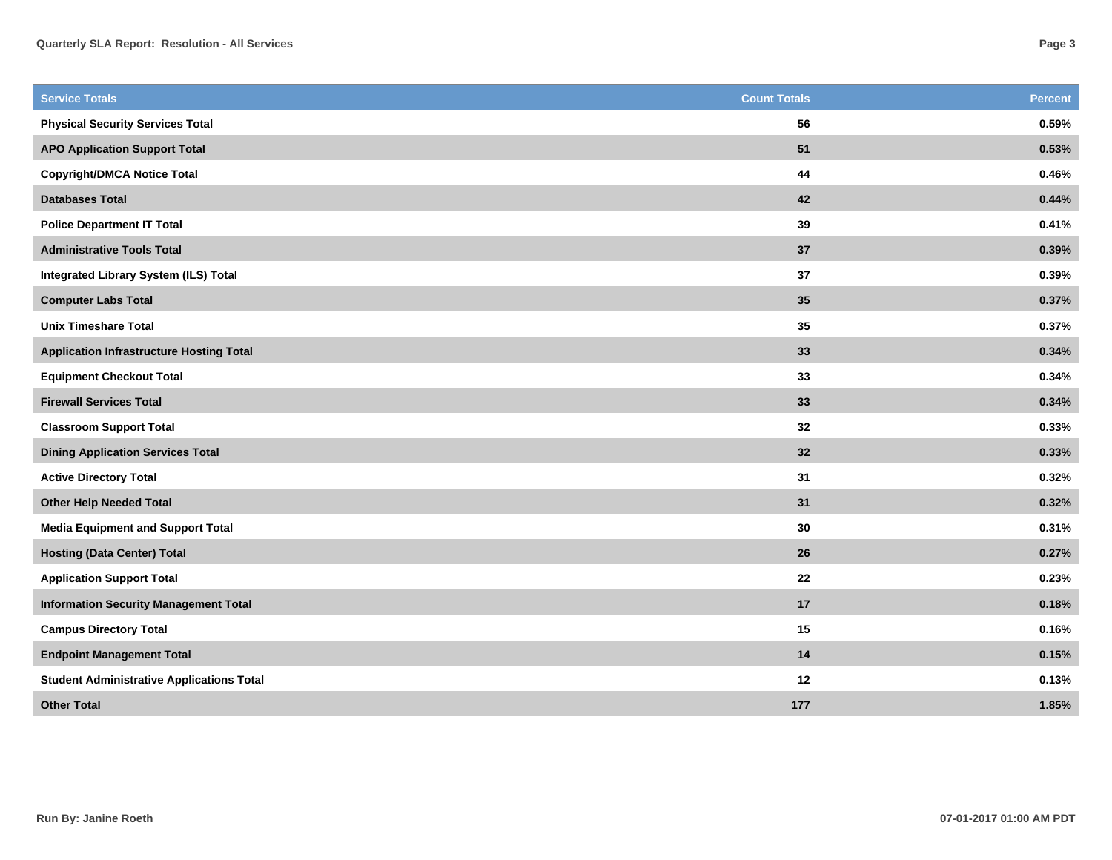| <b>Service Totals</b>                            | <b>Count Totals</b> | <b>Percent</b> |
|--------------------------------------------------|---------------------|----------------|
| <b>Physical Security Services Total</b>          | 56                  | 0.59%          |
| <b>APO Application Support Total</b>             | 51                  | 0.53%          |
| <b>Copyright/DMCA Notice Total</b>               | 44                  | 0.46%          |
| <b>Databases Total</b>                           | 42                  | 0.44%          |
| <b>Police Department IT Total</b>                | 39                  | 0.41%          |
| <b>Administrative Tools Total</b>                | 37                  | 0.39%          |
| Integrated Library System (ILS) Total            | 37                  | 0.39%          |
| <b>Computer Labs Total</b>                       | 35                  | 0.37%          |
| <b>Unix Timeshare Total</b>                      | 35                  | 0.37%          |
| <b>Application Infrastructure Hosting Total</b>  | 33                  | 0.34%          |
| <b>Equipment Checkout Total</b>                  | 33                  | 0.34%          |
| <b>Firewall Services Total</b>                   | 33                  | 0.34%          |
| <b>Classroom Support Total</b>                   | 32                  | 0.33%          |
| <b>Dining Application Services Total</b>         | 32                  | 0.33%          |
| <b>Active Directory Total</b>                    | 31                  | 0.32%          |
| <b>Other Help Needed Total</b>                   | 31                  | 0.32%          |
| <b>Media Equipment and Support Total</b>         | 30                  | 0.31%          |
| <b>Hosting (Data Center) Total</b>               | 26                  | 0.27%          |
| <b>Application Support Total</b>                 | 22                  | 0.23%          |
| <b>Information Security Management Total</b>     | 17                  | 0.18%          |
| <b>Campus Directory Total</b>                    | 15                  | 0.16%          |
| <b>Endpoint Management Total</b>                 | 14                  | 0.15%          |
| <b>Student Administrative Applications Total</b> | 12                  | 0.13%          |
| <b>Other Total</b>                               | 177                 | 1.85%          |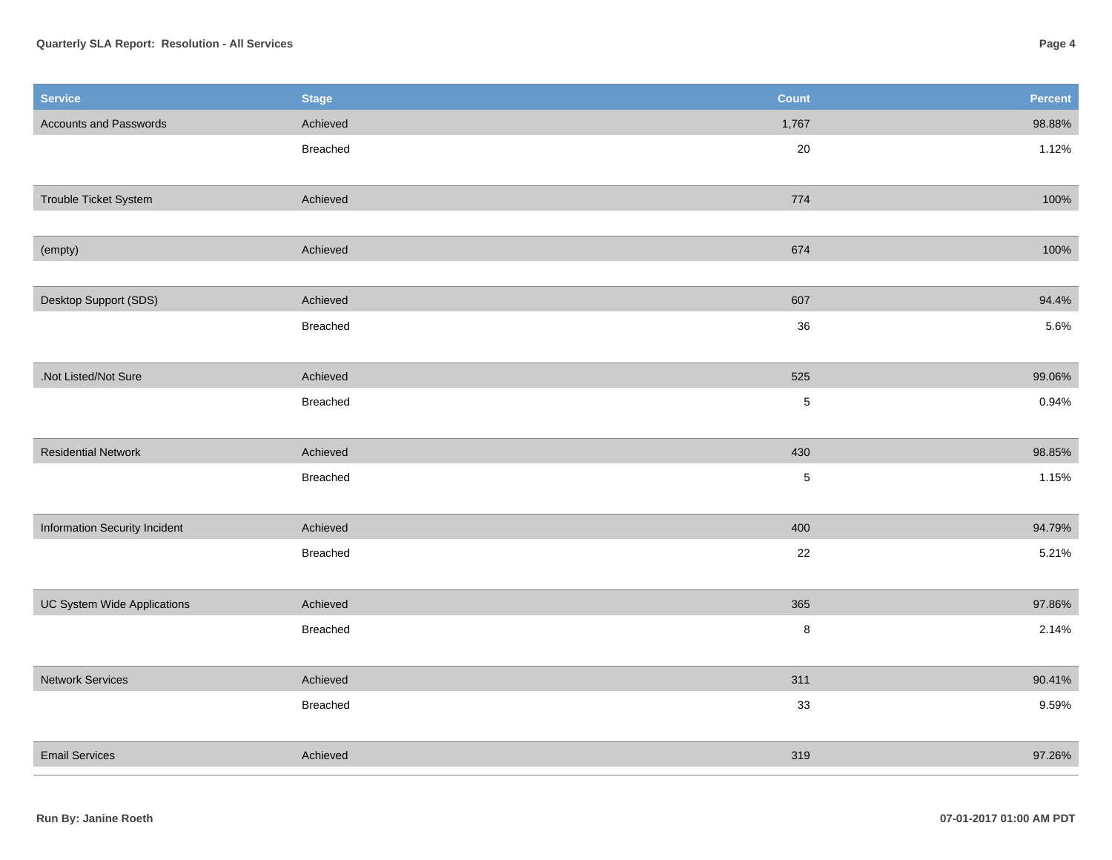## **Quarterly SLA Report: Resolution - All Services**

| <b>Service</b>                | <b>Stage</b> | <b>Count</b> | Percent |
|-------------------------------|--------------|--------------|---------|
| Accounts and Passwords        | Achieved     | 1,767        | 98.88%  |
|                               | Breached     | $20\,$       | 1.12%   |
|                               |              |              |         |
| Trouble Ticket System         | Achieved     | 774          | 100%    |
|                               |              |              |         |
| (empty)                       | Achieved     | 674          | 100%    |
|                               |              |              |         |
| Desktop Support (SDS)         | Achieved     | 607          | 94.4%   |
|                               | Breached     | $36\,$       | 5.6%    |
|                               |              |              |         |
| .Not Listed/Not Sure          | Achieved     | 525          | 99.06%  |
|                               | Breached     | $\sqrt{5}$   | 0.94%   |
|                               |              |              |         |
| <b>Residential Network</b>    | Achieved     | 430          | 98.85%  |
|                               | Breached     | $\sqrt{5}$   | 1.15%   |
|                               |              |              |         |
| Information Security Incident | Achieved     | 400          | 94.79%  |
|                               | Breached     | 22           | 5.21%   |
|                               |              |              |         |
| UC System Wide Applications   | Achieved     | 365          | 97.86%  |
|                               | Breached     | $\bf 8$      | 2.14%   |
|                               |              |              |         |
| <b>Network Services</b>       | Achieved     | 311          | 90.41%  |
|                               | Breached     | 33           | 9.59%   |
|                               |              |              |         |
| <b>Email Services</b>         | Achieved     | 319          | 97.26%  |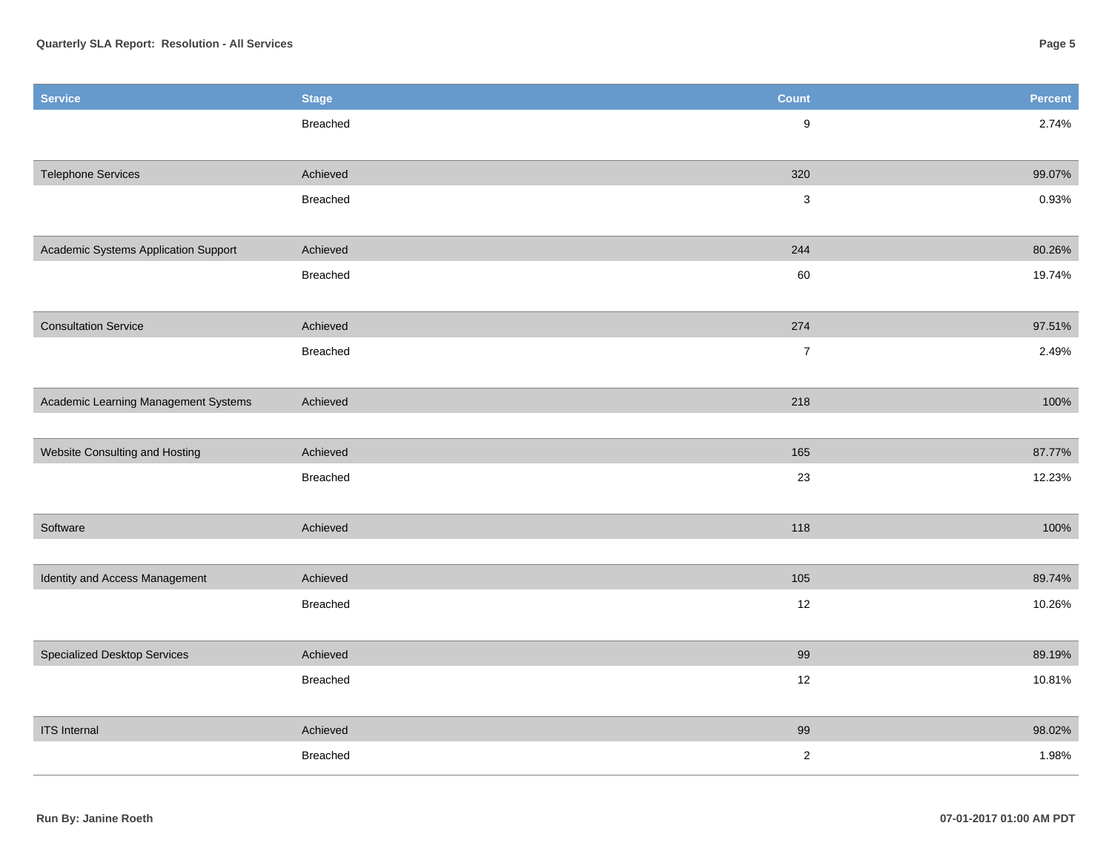| <b>Service</b>                       | <b>Stage</b> | Count            | <b>Percent</b> |
|--------------------------------------|--------------|------------------|----------------|
|                                      | Breached     | $\boldsymbol{9}$ | 2.74%          |
|                                      |              |                  |                |
| <b>Telephone Services</b>            | Achieved     | 320              | 99.07%         |
|                                      | Breached     | 3                | 0.93%          |
|                                      |              |                  |                |
| Academic Systems Application Support | Achieved     | 244              | 80.26%         |
|                                      | Breached     | 60               | 19.74%         |
|                                      |              |                  |                |
| <b>Consultation Service</b>          | Achieved     | 274              | 97.51%         |
|                                      | Breached     | $\boldsymbol{7}$ | 2.49%          |
|                                      |              |                  |                |
| Academic Learning Management Systems | Achieved     | 218              | 100%           |
|                                      |              |                  |                |
| Website Consulting and Hosting       | Achieved     | 165              | 87.77%         |
|                                      | Breached     | 23               | 12.23%         |
| Software                             | Achieved     | 118              | 100%           |
|                                      |              |                  |                |
| Identity and Access Management       | Achieved     | 105              | 89.74%         |
|                                      | Breached     | $12\,$           | 10.26%         |
|                                      |              |                  |                |
| Specialized Desktop Services         | Achieved     | 99               | 89.19%         |
|                                      | Breached     | 12               | 10.81%         |
|                                      |              |                  |                |
| <b>ITS</b> Internal                  | Achieved     | 99               | 98.02%         |
|                                      | Breached     | $\mathbf 2$      | 1.98%          |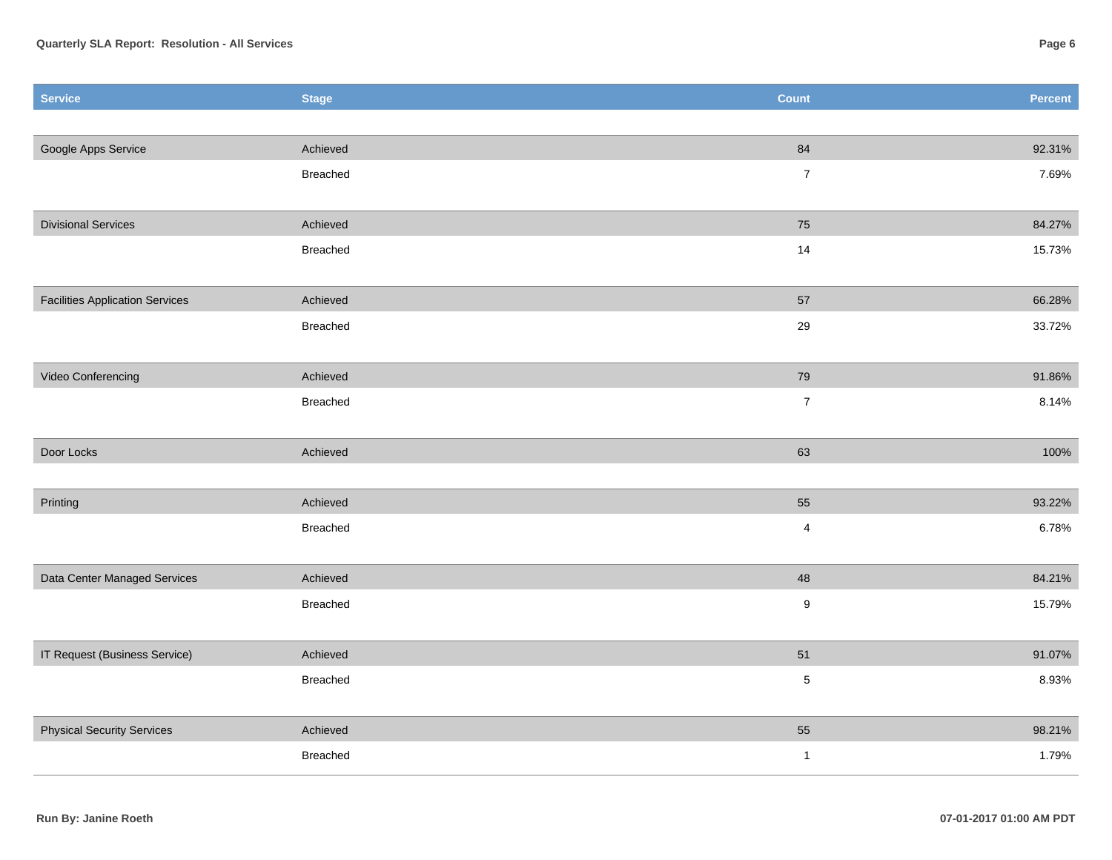| Service                                | <b>Stage</b> | Count            | Percent |
|----------------------------------------|--------------|------------------|---------|
|                                        |              |                  |         |
| Google Apps Service                    | Achieved     | 84               | 92.31%  |
|                                        | Breached     | $\bf 7$          | 7.69%   |
|                                        |              |                  |         |
| <b>Divisional Services</b>             | Achieved     | ${\bf 75}$       | 84.27%  |
|                                        | Breached     | 14               | 15.73%  |
|                                        |              |                  |         |
| <b>Facilities Application Services</b> | Achieved     | 57               | 66.28%  |
|                                        | Breached     | $29\,$           | 33.72%  |
|                                        |              |                  |         |
| Video Conferencing                     | Achieved     | 79               | 91.86%  |
|                                        | Breached     | $\overline{7}$   | 8.14%   |
|                                        |              |                  |         |
| Door Locks                             | Achieved     | 63               | 100%    |
|                                        |              |                  |         |
| Printing                               | Achieved     | 55               | 93.22%  |
|                                        | Breached     | 4                | 6.78%   |
|                                        |              |                  |         |
| Data Center Managed Services           | Achieved     | 48               | 84.21%  |
|                                        | Breached     | $\boldsymbol{9}$ | 15.79%  |
|                                        |              |                  |         |
| IT Request (Business Service)          | Achieved     | 51               | 91.07%  |
|                                        | Breached     | $\sqrt{5}$       | 8.93%   |
|                                        |              |                  |         |
| <b>Physical Security Services</b>      | Achieved     | 55               | 98.21%  |
|                                        | Breached     | $\overline{1}$   | 1.79%   |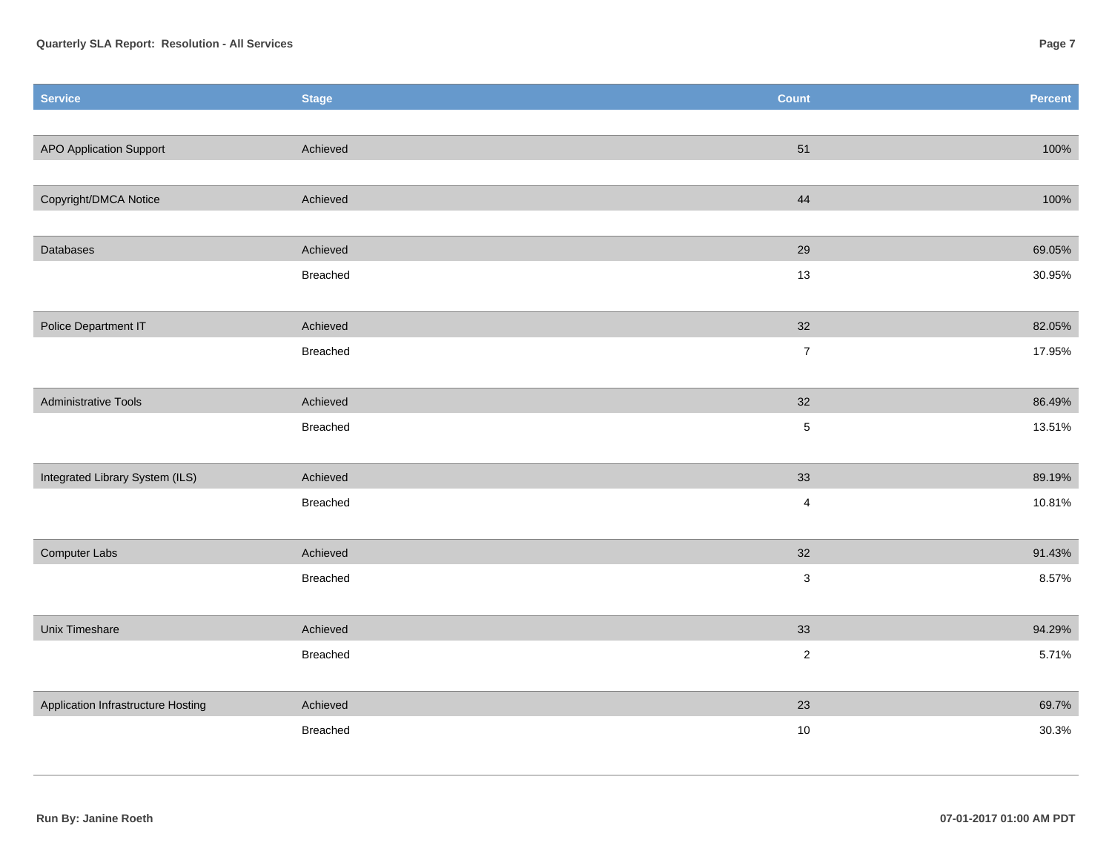| <b>Service</b>                     | <b>Stage</b> | <b>Count</b>   | Percent |
|------------------------------------|--------------|----------------|---------|
|                                    |              |                |         |
| <b>APO Application Support</b>     | Achieved     | 51             | 100%    |
|                                    |              |                |         |
| Copyright/DMCA Notice              | Achieved     | 44             | 100%    |
|                                    |              |                |         |
| Databases                          | Achieved     | 29             | 69.05%  |
|                                    | Breached     | 13             | 30.95%  |
|                                    |              |                |         |
| Police Department IT               | Achieved     | 32             | 82.05%  |
|                                    | Breached     | $\overline{7}$ | 17.95%  |
|                                    |              |                |         |
| <b>Administrative Tools</b>        | Achieved     | 32             | 86.49%  |
|                                    | Breached     | $\,$ 5 $\,$    | 13.51%  |
|                                    |              |                |         |
| Integrated Library System (ILS)    | Achieved     | 33             | 89.19%  |
|                                    | Breached     | $\overline{4}$ | 10.81%  |
|                                    |              |                |         |
| Computer Labs                      | Achieved     | 32             | 91.43%  |
|                                    | Breached     | $\sqrt{3}$     | 8.57%   |
|                                    |              |                |         |
| Unix Timeshare                     | Achieved     | 33             | 94.29%  |
|                                    | Breached     | $\sqrt{2}$     | 5.71%   |
|                                    |              |                |         |
| Application Infrastructure Hosting | Achieved     | 23             | 69.7%   |
|                                    | Breached     | 10             | 30.3%   |
|                                    |              |                |         |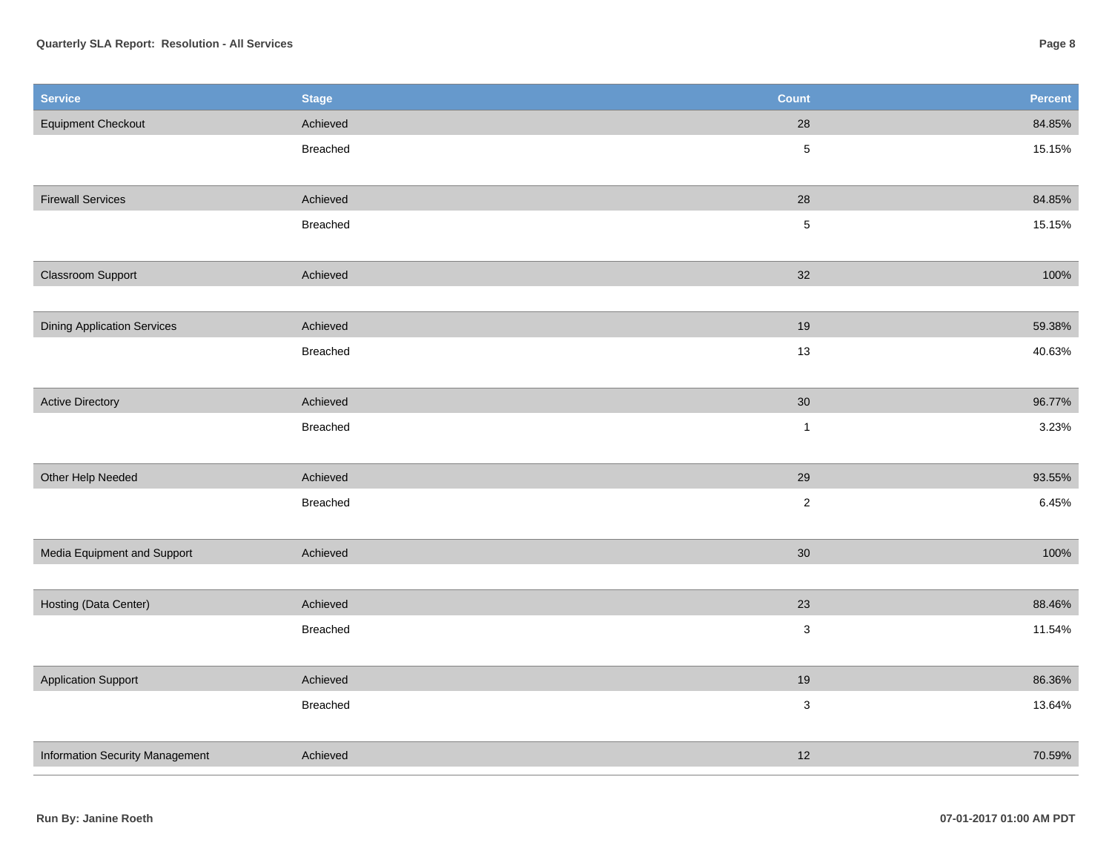## **Quarterly SLA Report: Resolution - All Services**

| <b>Service</b>                     | <b>Stage</b>    | <b>Count</b>              | Percent |
|------------------------------------|-----------------|---------------------------|---------|
| <b>Equipment Checkout</b>          | Achieved        | 28                        | 84.85%  |
|                                    | <b>Breached</b> | $\mathbf 5$               | 15.15%  |
|                                    |                 |                           |         |
| <b>Firewall Services</b>           | Achieved        | 28                        | 84.85%  |
|                                    | Breached        | $\mathbf 5$               | 15.15%  |
|                                    |                 |                           |         |
| Classroom Support                  | Achieved        | 32                        | 100%    |
|                                    |                 |                           |         |
| <b>Dining Application Services</b> | Achieved        | 19                        | 59.38%  |
|                                    | <b>Breached</b> | 13                        | 40.63%  |
|                                    |                 |                           |         |
| <b>Active Directory</b>            | Achieved        | $30\,$                    | 96.77%  |
|                                    | Breached        | $\mathbf{1}$              | 3.23%   |
|                                    |                 |                           |         |
| Other Help Needed                  | Achieved        | 29                        | 93.55%  |
|                                    | <b>Breached</b> | $\overline{2}$            | 6.45%   |
|                                    |                 |                           |         |
| Media Equipment and Support        | Achieved        | 30                        | 100%    |
|                                    |                 |                           |         |
| Hosting (Data Center)              | Achieved        | 23                        | 88.46%  |
|                                    | <b>Breached</b> | $\ensuremath{\mathsf{3}}$ | 11.54%  |
|                                    |                 |                           |         |
| <b>Application Support</b>         | Achieved        | 19                        | 86.36%  |
|                                    | <b>Breached</b> | $\mathsf 3$               | 13.64%  |
|                                    |                 |                           |         |
| Information Security Management    | Achieved        | 12                        | 70.59%  |